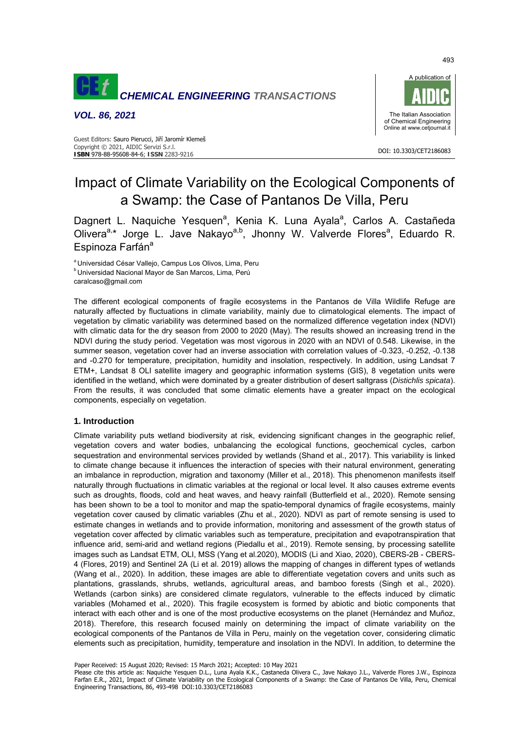

*VOL. 86, 2021* 



DOI: 10.3303/CET2186083

#### Guest Editors: Sauro Pierucci, Jiří Jaromír Klemeš Copyright © 2021, AIDIC Servizi S.r.l. **ISBN** 978-88-95608-84-6; **ISSN** 2283-9216

# Impact of Climate Variability on the Ecological Components of a Swamp: the Case of Pantanos De Villa, Peru

Dagnert L. Naquiche Yesquen<sup>a</sup>, Kenia K. Luna Ayala<sup>a</sup>, Carlos A. Castañeda Olivera<sup>a,\*</sup> Jorge L. Jave Nakayo<sup>a,b</sup>, Jhonny W. Valverde Flores<sup>a</sup>, Eduardo R. Espinoza Farfán<sup>a</sup>

<sup>a</sup>Universidad César Vallejo, Campus Los Olivos, Lima, Peru<br><sup>b</sup> Universidad Nacional Mayor de San Marcos, Lima, Perú caralcaso@gmail.com

The different ecological components of fragile ecosystems in the Pantanos de Villa Wildlife Refuge are naturally affected by fluctuations in climate variability, mainly due to climatological elements. The impact of vegetation by climatic variability was determined based on the normalized difference vegetation index (NDVI) with climatic data for the dry season from 2000 to 2020 (May). The results showed an increasing trend in the NDVI during the study period. Vegetation was most vigorous in 2020 with an NDVI of 0.548. Likewise, in the summer season, vegetation cover had an inverse association with correlation values of -0.323, -0.252, -0.138 and -0.270 for temperature, precipitation, humidity and insolation, respectively. In addition, using Landsat 7 ETM+, Landsat 8 OLI satellite imagery and geographic information systems (GIS), 8 vegetation units were identified in the wetland, which were dominated by a greater distribution of desert saltgrass (*Distichlis spicata*). From the results, it was concluded that some climatic elements have a greater impact on the ecological components, especially on vegetation.

# **1. Introduction**

Climate variability puts wetland biodiversity at risk, evidencing significant changes in the geographic relief, vegetation covers and water bodies, unbalancing the ecological functions, geochemical cycles, carbon sequestration and environmental services provided by wetlands (Shand et al., 2017). This variability is linked to climate change because it influences the interaction of species with their natural environment, generating an imbalance in reproduction, migration and taxonomy (Miller et al., 2018). This phenomenon manifests itself naturally through fluctuations in climatic variables at the regional or local level. It also causes extreme events such as droughts, floods, cold and heat waves, and heavy rainfall (Butterfield et al., 2020). Remote sensing has been shown to be a tool to monitor and map the spatio-temporal dynamics of fragile ecosystems, mainly vegetation cover caused by climatic variables (Zhu et al., 2020). NDVI as part of remote sensing is used to estimate changes in wetlands and to provide information, monitoring and assessment of the growth status of vegetation cover affected by climatic variables such as temperature, precipitation and evapotranspiration that influence arid, semi-arid and wetland regions (Piedallu et al., 2019). Remote sensing, by processing satellite images such as Landsat ETM, OLI, MSS (Yang et al.2020), MODIS (Li and Xiao, 2020), CBERS-2B - CBERS-4 (Flores, 2019) and Sentinel 2A (Li et al. 2019) allows the mapping of changes in different types of wetlands (Wang et al., 2020). In addition, these images are able to differentiate vegetation covers and units such as plantations, grasslands, shrubs, wetlands, agricultural areas, and bamboo forests (Singh et al., 2020). Wetlands (carbon sinks) are considered climate regulators, vulnerable to the effects induced by climatic variables (Mohamed et al., 2020). This fragile ecosystem is formed by abiotic and biotic components that interact with each other and is one of the most productive ecosystems on the planet (Hernández and Muñoz, 2018). Therefore, this research focused mainly on determining the impact of climate variability on the ecological components of the Pantanos de Villa in Peru, mainly on the vegetation cover, considering climatic elements such as precipitation, humidity, temperature and insolation in the NDVI. In addition, to determine the

Paper Received: 15 August 2020; Revised: 15 March 2021; Accepted: 10 May 2021

Please cite this article as: Naquiche Yesquen D.L., Luna Ayala K.K., Castaneda Olivera C., Jave Nakayo J.L., Valverde Flores J.W., Espinoza Farfan E.R., 2021, Impact of Climate Variability on the Ecological Components of a Swamp: the Case of Pantanos De Villa, Peru, Chemical Engineering Transactions, 86, 493-498 DOI:10.3303/CET2186083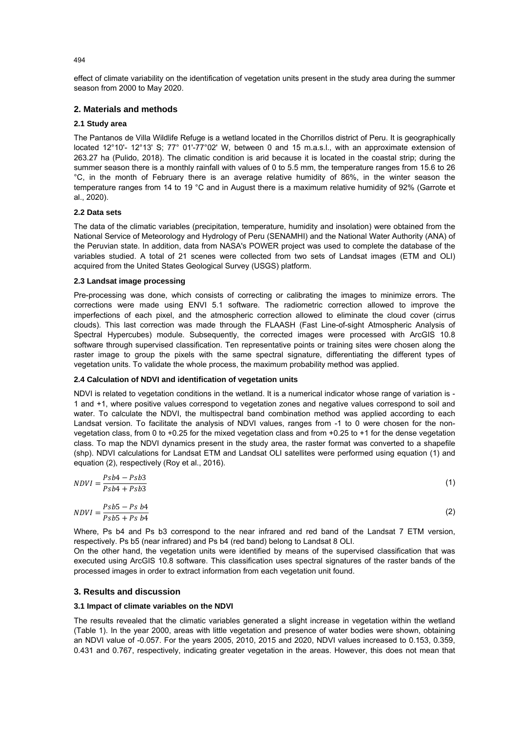effect of climate variability on the identification of vegetation units present in the study area during the summer season from 2000 to May 2020.

# **2. Materials and methods**

## **2.1 Study area**

The Pantanos de Villa Wildlife Refuge is a wetland located in the Chorrillos district of Peru. It is geographically located 12°10'- 12°13' S; 77° 01'-77°02' W, between 0 and 15 m.a.s.l., with an approximate extension of 263.27 ha (Pulido, 2018). The climatic condition is arid because it is located in the coastal strip; during the summer season there is a monthly rainfall with values of 0 to 5.5 mm, the temperature ranges from 15.6 to 26 °C, in the month of February there is an average relative humidity of 86%, in the winter season the temperature ranges from 14 to 19 °C and in August there is a maximum relative humidity of 92% (Garrote et al., 2020).

## **2.2 Data sets**

The data of the climatic variables (precipitation, temperature, humidity and insolation) were obtained from the National Service of Meteorology and Hydrology of Peru (SENAMHI) and the National Water Authority (ANA) of the Peruvian state. In addition, data from NASA's POWER project was used to complete the database of the variables studied. A total of 21 scenes were collected from two sets of Landsat images (ETM and OLI) acquired from the United States Geological Survey (USGS) platform.

## **2.3 Landsat image processing**

Pre-processing was done, which consists of correcting or calibrating the images to minimize errors. The corrections were made using ENVI 5.1 software. The radiometric correction allowed to improve the imperfections of each pixel, and the atmospheric correction allowed to eliminate the cloud cover (cirrus clouds). This last correction was made through the FLAASH (Fast Line-of-sight Atmospheric Analysis of Spectral Hypercubes) module. Subsequently, the corrected images were processed with ArcGIS 10.8 software through supervised classification. Ten representative points or training sites were chosen along the raster image to group the pixels with the same spectral signature, differentiating the different types of vegetation units. To validate the whole process, the maximum probability method was applied.

## **2.4 Calculation of NDVI and identification of vegetation units**

NDVI is related to vegetation conditions in the wetland. It is a numerical indicator whose range of variation is - 1 and +1, where positive values correspond to vegetation zones and negative values correspond to soil and water. To calculate the NDVI, the multispectral band combination method was applied according to each Landsat version. To facilitate the analysis of NDVI values, ranges from -1 to 0 were chosen for the nonvegetation class, from 0 to +0.25 for the mixed vegetation class and from +0.25 to +1 for the dense vegetation class. To map the NDVI dynamics present in the study area, the raster format was converted to a shapefile (shp). NDVI calculations for Landsat ETM and Landsat OLI satellites were performed using equation (1) and equation (2), respectively (Roy et al., 2016).

| $Psb4-Psb3$<br>$NDVI = \frac{PSD + PSD}{PSD4 + Psb3}$ | (1) |
|-------------------------------------------------------|-----|
| $Psb5 - Psb4$<br>$NDVI = \frac{PSDS}{PSDS + Psb4}$    | (2) |

Where, Ps b4 and Ps b3 correspond to the near infrared and red band of the Landsat 7 ETM version, respectively. Ps b5 (near infrared) and Ps b4 (red band) belong to Landsat 8 OLI.

On the other hand, the vegetation units were identified by means of the supervised classification that was executed using ArcGIS 10.8 software. This classification uses spectral signatures of the raster bands of the processed images in order to extract information from each vegetation unit found.

## **3. Results and discussion**

#### **3.1 Impact of climate variables on the NDVI**

The results revealed that the climatic variables generated a slight increase in vegetation within the wetland (Table 1). In the year 2000, areas with little vegetation and presence of water bodies were shown, obtaining an NDVI value of -0.057. For the years 2005, 2010, 2015 and 2020, NDVI values increased to 0.153, 0.359, 0.431 and 0.767, respectively, indicating greater vegetation in the areas. However, this does not mean that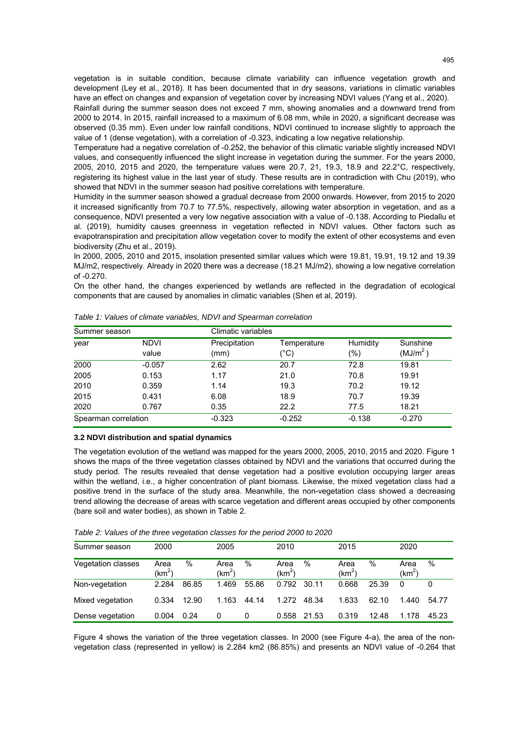vegetation is in suitable condition, because climate variability can influence vegetation growth and development (Ley et al., 2018). It has been documented that in dry seasons, variations in climatic variables have an effect on changes and expansion of vegetation cover by increasing NDVI values (Yang et al., 2020).

Rainfall during the summer season does not exceed 7 mm, showing anomalies and a downward trend from 2000 to 2014. In 2015, rainfall increased to a maximum of 6.08 mm, while in 2020, a significant decrease was observed (0.35 mm). Even under low rainfall conditions, NDVI continued to increase slightly to approach the value of 1 (dense vegetation), with a correlation of -0.323, indicating a low negative relationship.

Temperature had a negative correlation of -0.252, the behavior of this climatic variable slightly increased NDVI values, and consequently influenced the slight increase in vegetation during the summer. For the years 2000, 2005, 2010, 2015 and 2020, the temperature values were 20.7, 21, 19.3, 18.9 and 22.2°C, respectively, registering its highest value in the last year of study. These results are in contradiction with Chu (2019), who showed that NDVI in the summer season had positive correlations with temperature.

Humidity in the summer season showed a gradual decrease from 2000 onwards. However, from 2015 to 2020 it increased significantly from 70.7 to 77.5%, respectively, allowing water absorption in vegetation, and as a consequence, NDVI presented a very low negative association with a value of -0.138. According to Piedallu et al. (2019), humidity causes greenness in vegetation reflected in NDVI values. Other factors such as evapotranspiration and precipitation allow vegetation cover to modify the extent of other ecosystems and even biodiversity (Zhu et al., 2019).

In 2000, 2005, 2010 and 2015, insolation presented similar values which were 19.81, 19.91, 19.12 and 19.39 MJ/m2, respectively. Already in 2020 there was a decrease (18.21 MJ/m2), showing a low negative correlation of -0.270.

On the other hand, the changes experienced by wetlands are reflected in the degradation of ecological components that are caused by anomalies in climatic variables (Shen et al, 2019).

| Summer season        |                      |                       | Climatic variables  |                 |                                  |  |  |
|----------------------|----------------------|-----------------------|---------------------|-----------------|----------------------------------|--|--|
| year                 | <b>NDVI</b><br>value | Precipitation<br>(mm) | Temperature<br>(°C) | Humidity<br>(%) | Sunshine<br>(MJ/m <sup>2</sup> ) |  |  |
| 2000                 | $-0.057$             | 2.62                  | 20.7                | 72.8            | 19.81                            |  |  |
| 2005                 | 0.153                | 1.17                  | 21.0                | 70.8            | 19.91                            |  |  |
| 2010                 | 0.359                | 1.14                  | 19.3                | 70.2            | 19.12                            |  |  |
| 2015                 | 0.431                | 6.08                  | 18.9                | 70.7            | 19.39                            |  |  |
| 2020                 | 0.767                | 0.35                  | 22.2                | 77.5            | 18.21                            |  |  |
| Spearman correlation |                      | $-0.323$              | $-0.252$            | $-0.138$        | $-0.270$                         |  |  |

*Table 1: Values of climate variables, NDVI and Spearman correlation* 

#### **3.2 NDVI distribution and spatial dynamics**

The vegetation evolution of the wetland was mapped for the years 2000, 2005, 2010, 2015 and 2020. Figure 1 shows the maps of the three vegetation classes obtained by NDVI and the variations that occurred during the study period. The results revealed that dense vegetation had a positive evolution occupying larger areas within the wetland, i.e., a higher concentration of plant biomass. Likewise, the mixed vegetation class had a positive trend in the surface of the study area. Meanwhile, the non-vegetation class showed a decreasing trend allowing the decrease of areas with scarce vegetation and different areas occupied by other components (bare soil and water bodies), as shown in Table 2.

*Table 2: Values of the three vegetation classes for the period 2000 to 2020* 

| Summer season      | 2000             |       | 2005             |               | 2010                       |       | 2015             |       | 2020             |       |
|--------------------|------------------|-------|------------------|---------------|----------------------------|-------|------------------|-------|------------------|-------|
| Vegetation classes | Area<br>$(km^2)$ | %     | Area<br>$(km^2)$ | $\frac{0}{0}$ | Area<br>(km <sup>2</sup> ) | %     | Area<br>$(km^2)$ | %     | Area<br>$(km^2)$ | $\%$  |
| Non-vegetation     | 2.284            | 86.85 | 1.469            | 55.86         | 0.792                      | 30.11 | 0.668            | 25.39 | $\Omega$         | 0     |
| Mixed vegetation   | 0.334            | 12.90 | 1.163            | 44.14         | 1.272                      | 48.34 | 1.633            | 62.10 | 1.440            | 54.77 |
| Dense vegetation   | 0.004            | 0.24  | 0                | 0             | 0.558                      | 21.53 | 0.319            | 12.48 | 1.178            | 45.23 |

Figure 4 shows the variation of the three vegetation classes. In 2000 (see Figure 4-a), the area of the nonvegetation class (represented in yellow) is 2.284 km2 (86.85%) and presents an NDVI value of -0.264 that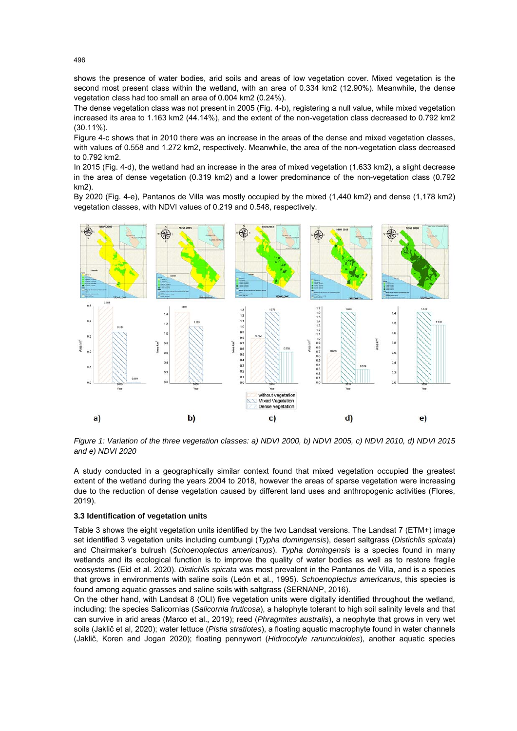shows the presence of water bodies, arid soils and areas of low vegetation cover. Mixed vegetation is the second most present class within the wetland, with an area of 0.334 km2 (12.90%). Meanwhile, the dense vegetation class had too small an area of 0.004 km2 (0.24%).

The dense vegetation class was not present in 2005 (Fig. 4-b), registering a null value, while mixed vegetation increased its area to 1.163 km2 (44.14%), and the extent of the non-vegetation class decreased to 0.792 km2 (30.11%).

Figure 4-c shows that in 2010 there was an increase in the areas of the dense and mixed vegetation classes, with values of 0.558 and 1.272 km2, respectively. Meanwhile, the area of the non-vegetation class decreased to 0.792 km2.

In 2015 (Fig. 4-d), the wetland had an increase in the area of mixed vegetation (1.633 km2), a slight decrease in the area of dense vegetation (0.319 km2) and a lower predominance of the non-vegetation class (0.792 km2).

By 2020 (Fig. 4-e), Pantanos de Villa was mostly occupied by the mixed (1,440 km2) and dense (1,178 km2) vegetation classes, with NDVI values of 0.219 and 0.548, respectively.



*Figure 1: Variation of the three vegetation classes: a) NDVI 2000, b) NDVI 2005, c) NDVI 2010, d) NDVI 2015 and e) NDVI 2020* 

A study conducted in a geographically similar context found that mixed vegetation occupied the greatest extent of the wetland during the years 2004 to 2018, however the areas of sparse vegetation were increasing due to the reduction of dense vegetation caused by different land uses and anthropogenic activities (Flores, 2019).

#### **3.3 Identification of vegetation units**

Table 3 shows the eight vegetation units identified by the two Landsat versions. The Landsat 7 (ETM+) image set identified 3 vegetation units including cumbungi (*Typha domingensis*), desert saltgrass (*Distichlis spicata*) and Chairmaker's bulrush (*Schoenoplectus americanus*). *Typha domingensis* is a species found in many wetlands and its ecological function is to improve the quality of water bodies as well as to restore fragile ecosystems (Eid et al. 2020). *Distichlis spicata* was most prevalent in the Pantanos de Villa, and is a species that grows in environments with saline soils (León et al., 1995). *Schoenoplectus americanus*, this species is found among aquatic grasses and saline soils with saltgrass (SERNANP, 2016).

On the other hand, with Landsat 8 (OLI) five vegetation units were digitally identified throughout the wetland, including: the species Salicornias (*Salicornia fruticosa*), a halophyte tolerant to high soil salinity levels and that can survive in arid areas (Marco et al., 2019); reed (*Phragmites australis*), a neophyte that grows in very wet soils (Jaklič et al, 2020); water lettuce (*Pistia stratiotes*), a floating aquatic macrophyte found in water channels (Jaklič, Koren and Jogan 2020); floating pennywort (*Hidrocotyle ranunculoides*), another aquatic species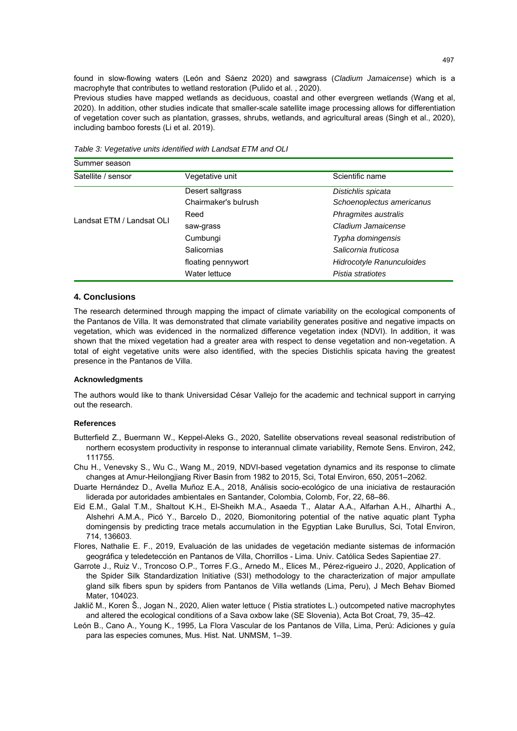found in slow-flowing waters (León and Sáenz 2020) and sawgrass (*Cladium Jamaicense*) which is a macrophyte that contributes to wetland restoration (Pulido et al. , 2020).

Previous studies have mapped wetlands as deciduous, coastal and other evergreen wetlands (Wang et al, 2020). In addition, other studies indicate that smaller-scale satellite image processing allows for differentiation of vegetation cover such as plantation, grasses, shrubs, wetlands, and agricultural areas (Singh et al., 2020), including bamboo forests (Li et al. 2019).

| Summer season             |                      |                           |
|---------------------------|----------------------|---------------------------|
| Satellite / sensor        | Vegetative unit      | Scientific name           |
|                           | Desert saltgrass     | Distichlis spicata        |
|                           | Chairmaker's bulrush | Schoenoplectus americanus |
|                           | Reed                 | Phragmites australis      |
| Landsat ETM / Landsat OLI | saw-grass            | Cladium Jamaicense        |
|                           | Cumbungi             | Typha domingensis         |
|                           | Salicornias          | Salicornia fruticosa      |
|                           | floating pennywort   | Hidrocotyle Ranunculoides |
|                           | Water lettuce        | Pistia stratiotes         |

*Table 3: Vegetative units identified with Landsat ETM and OLI* 

#### **4. Conclusions**

The research determined through mapping the impact of climate variability on the ecological components of the Pantanos de Villa. It was demonstrated that climate variability generates positive and negative impacts on vegetation, which was evidenced in the normalized difference vegetation index (NDVI). In addition, it was shown that the mixed vegetation had a greater area with respect to dense vegetation and non-vegetation. A total of eight vegetative units were also identified, with the species Distichlis spicata having the greatest presence in the Pantanos de Villa.

#### **Acknowledgments**

The authors would like to thank Universidad César Vallejo for the academic and technical support in carrying out the research.

#### **References**

- Butterfield Z., Buermann W., Keppel-Aleks G., 2020, Satellite observations reveal seasonal redistribution of northern ecosystem productivity in response to interannual climate variability, Remote Sens. Environ, 242, 111755.
- Chu H., Venevsky S., Wu C., Wang M., 2019, NDVI-based vegetation dynamics and its response to climate changes at Amur-Heilongjiang River Basin from 1982 to 2015, Sci, Total Environ, 650, 2051–2062.
- Duarte Hernández D., Avella Muñoz E.A., 2018, Análisis socio-ecológico de una iniciativa de restauración liderada por autoridades ambientales en Santander, Colombia, Colomb, For, 22, 68–86.
- Eid E.M., Galal T.M., Shaltout K.H., El-Sheikh M.A., Asaeda T., Alatar A.A., Alfarhan A.H., Alharthi A., Alshehri A.M.A., Picó Y., Barcelo D., 2020, Biomonitoring potential of the native aquatic plant Typha domingensis by predicting trace metals accumulation in the Egyptian Lake Burullus, Sci, Total Environ, 714, 136603.
- Flores, Nathalie E. F., 2019, Evaluación de las unidades de vegetación mediante sistemas de información geográfica y teledetección en Pantanos de Villa, Chorrillos - Lima. Univ. Católica Sedes Sapientiae 27.
- Garrote J., Ruiz V., Troncoso O.P., Torres F.G., Arnedo M., Elices M., Pérez-rigueiro J., 2020, Application of the Spider Silk Standardization Initiative (S3I) methodology to the characterization of major ampullate gland silk fibers spun by spiders from Pantanos de Villa wetlands (Lima, Peru), J Mech Behav Biomed Mater, 104023.
- Jaklič M., Koren Š., Jogan N., 2020, Alien water lettuce ( Pistia stratiotes L.) outcompeted native macrophytes and altered the ecological conditions of a Sava oxbow lake (SE Slovenia), Acta Bot Croat, 79, 35–42.
- León B., Cano A., Young K., 1995, La Flora Vascular de los Pantanos de Villa, Lima, Perú: Adiciones y guía para las especies comunes, Mus. Hist. Nat. UNMSM, 1–39.